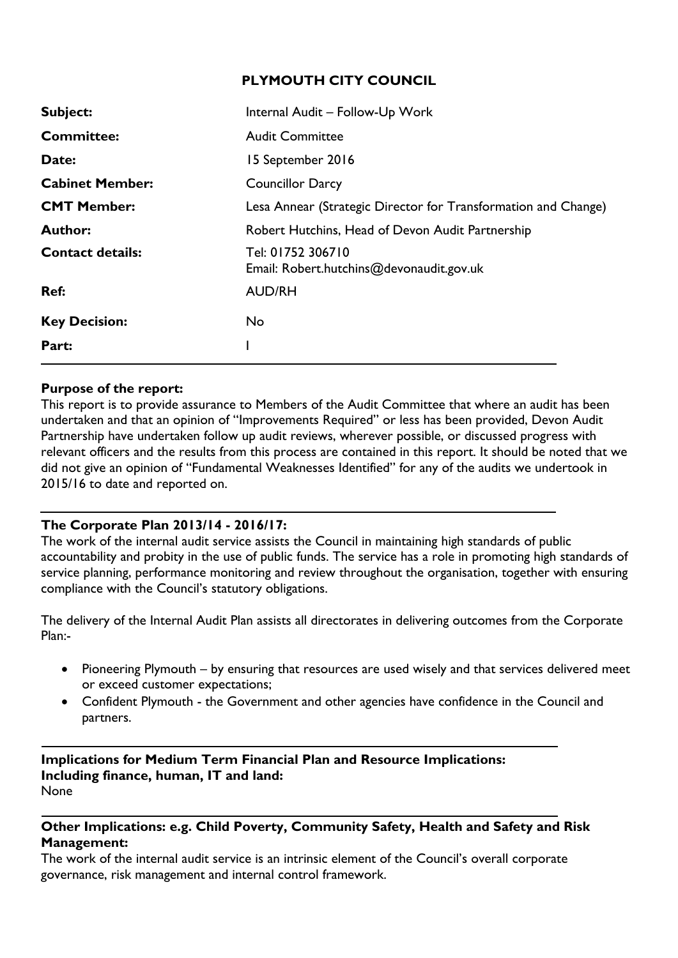#### **PLYMOUTH CITY COUNCIL**

| Internal Audit - Follow-Up Work                                |
|----------------------------------------------------------------|
| <b>Audit Committee</b>                                         |
| 15 September 2016                                              |
| <b>Councillor Darcy</b>                                        |
| Lesa Annear (Strategic Director for Transformation and Change) |
| Robert Hutchins, Head of Devon Audit Partnership               |
| Tel: 01752 306710<br>Email: Robert.hutchins@devonaudit.gov.uk  |
| <b>AUD/RH</b>                                                  |
| <b>No</b>                                                      |
|                                                                |
|                                                                |

#### **Purpose of the report:**

This report is to provide assurance to Members of the Audit Committee that where an audit has been undertaken and that an opinion of "Improvements Required" or less has been provided, Devon Audit Partnership have undertaken follow up audit reviews, wherever possible, or discussed progress with relevant officers and the results from this process are contained in this report. It should be noted that we did not give an opinion of "Fundamental Weaknesses Identified" for any of the audits we undertook in 2015/16 to date and reported on.

#### **The Corporate Plan 2013/14 - 2016/17:**

The work of the internal audit service assists the Council in maintaining high standards of public accountability and probity in the use of public funds. The service has a role in promoting high standards of service planning, performance monitoring and review throughout the organisation, together with ensuring compliance with the Council's statutory obligations.

The delivery of the Internal Audit Plan assists all directorates in delivering outcomes from the Corporate Plan:-

- Pioneering Plymouth by ensuring that resources are used wisely and that services delivered meet or exceed customer expectations;
- Confident Plymouth the Government and other agencies have confidence in the Council and partners.

**Implications for Medium Term Financial Plan and Resource Implications: Including finance, human, IT and land:** None

#### **Other Implications: e.g. Child Poverty, Community Safety, Health and Safety and Risk Management:**

The work of the internal audit service is an intrinsic element of the Council's overall corporate governance, risk management and internal control framework.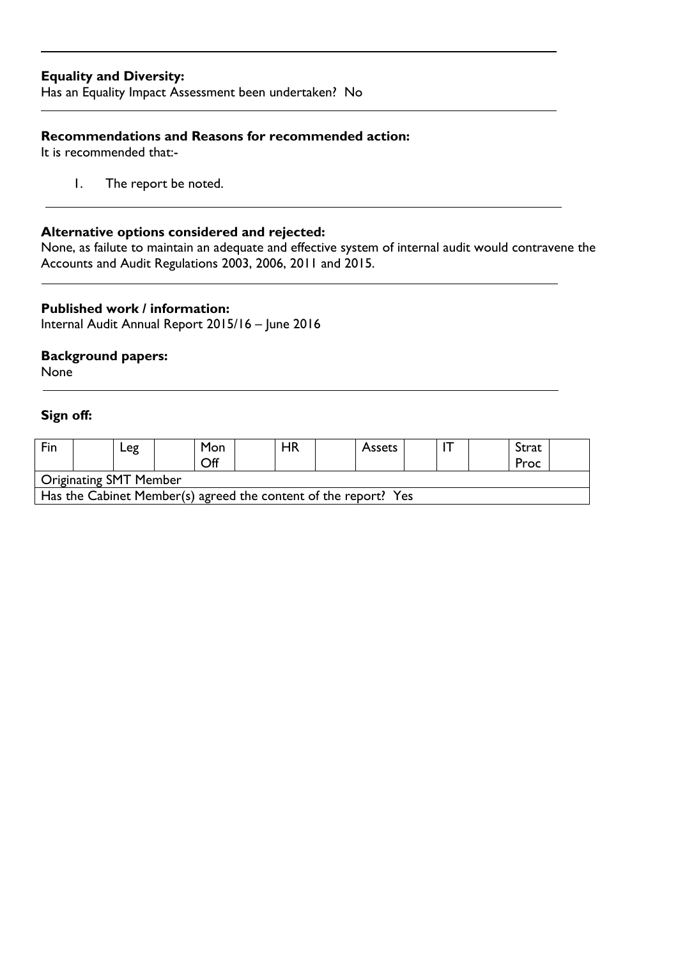#### **Equality and Diversity:**

Has an Equality Impact Assessment been undertaken? No

### **Recommendations and Reasons for recommended action:**

It is recommended that:-

1. The report be noted.

#### **Alternative options considered and rejected:**

None, as failute to maintain an adequate and effective system of internal audit would contravene the Accounts and Audit Regulations 2003, 2006, 2011 and 2015.

#### **Published work / information:**

Internal Audit Annual Report 2015/16 – June 2016

#### **Background papers:**

None

## **Sign off:**

| Fin                                                             |  | -eg |  | Mon<br>Off |  | <b>HR</b> |  | <b>Assets</b> |  |  |  | Strat<br>Proc |  |
|-----------------------------------------------------------------|--|-----|--|------------|--|-----------|--|---------------|--|--|--|---------------|--|
| Originating SMT Member                                          |  |     |  |            |  |           |  |               |  |  |  |               |  |
| Has the Cabinet Member(s) agreed the content of the report? Yes |  |     |  |            |  |           |  |               |  |  |  |               |  |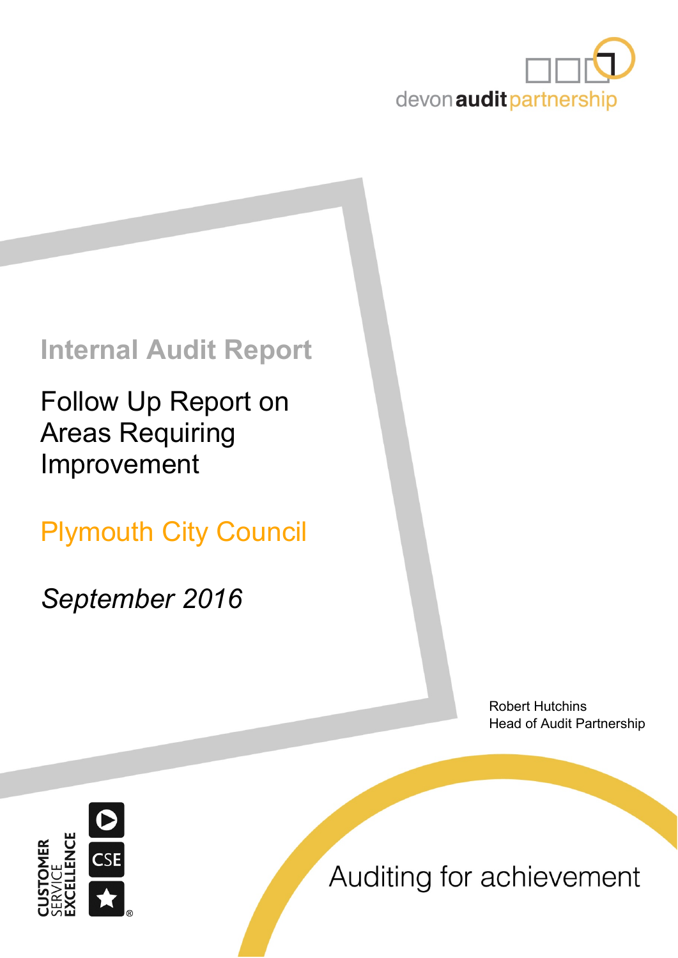

# **Internal Audit Report**

Follow Up Report on Areas Requiring Improvement

Plymouth City Council

*September 2016*

Robert Hutchins Head of Audit Partnership



Auditing for achievement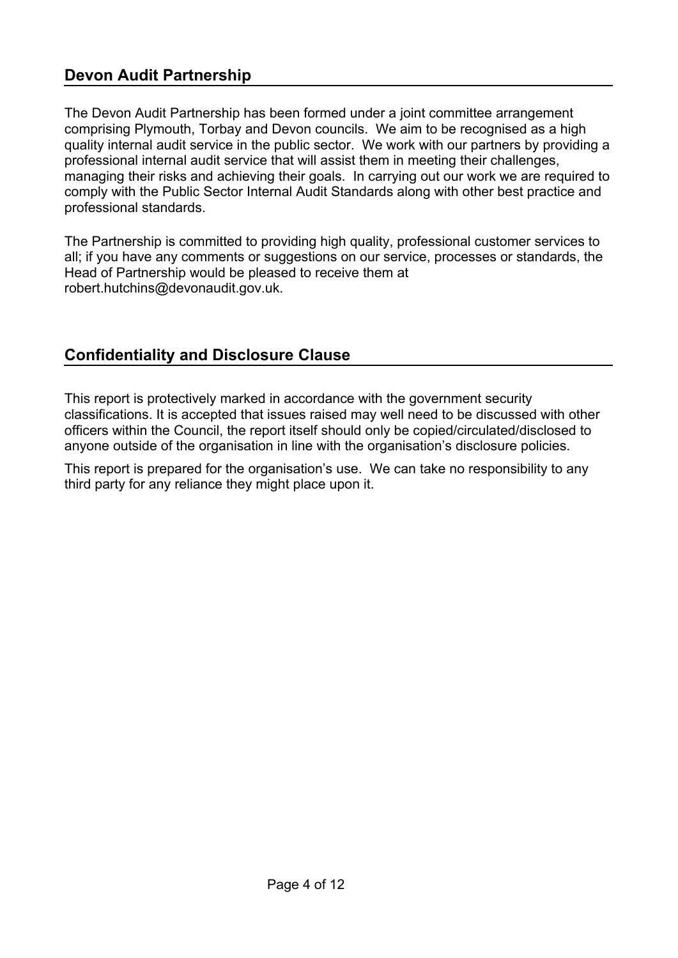# **Devon Audit Partnership**

The Devon Audit Partnership has been formed under a joint committee arrangement comprising Plymouth, Torbay and Devon councils. We aim to be recognised as a high quality internal audit service in the public sector. We work with our partners by providing a professional internal audit service that will assist them in meeting their challenges, managing their risks and achieving their goals. In carrying out our work we are required to comply with the Public Sector Internal Audit Standards along with other best practice and professional standards.

The Partnership is committed to providing high quality, professional customer services to all; if you have any comments or suggestions on our service, processes or standards, the Head of Partnership would be pleased to receive them at robert.hutchins@devonaudit.gov.uk.

# **Confidentiality and Disclosure Clause**

This report is protectively marked in accordance with the government security classifications. It is accepted that issues raised may well need to be discussed with other officers within the Council, the report itself should only be copied/circulated/disclosed to anyone outside of the organisation in line with the organisation's disclosure policies.

This report is prepared for the organisation's use. We can take no responsibility to any third party for any reliance they might place upon it.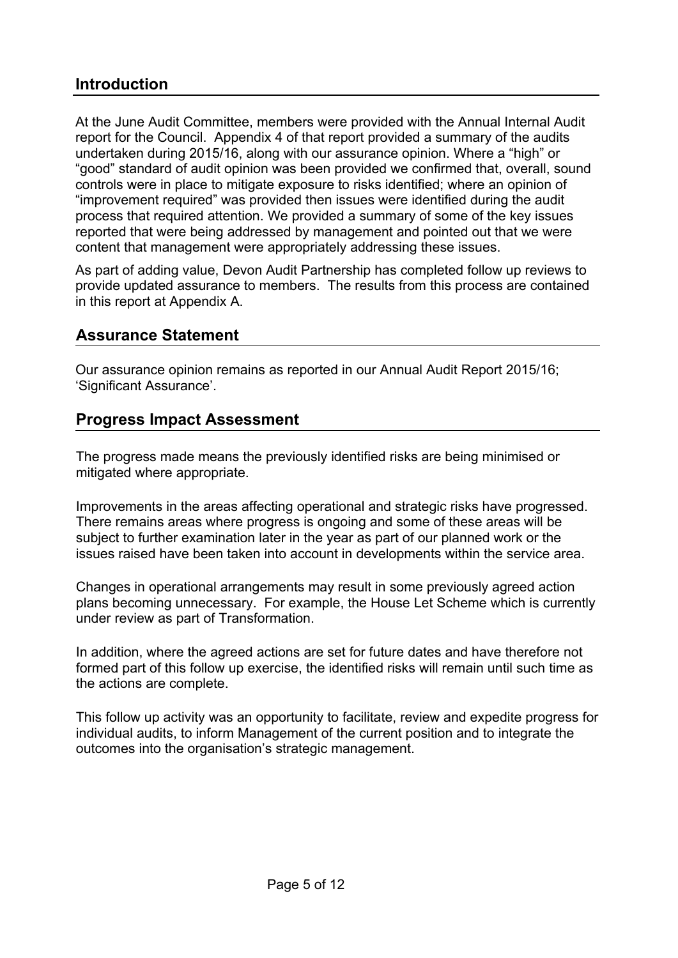# **Introduction**

At the June Audit Committee, members were provided with the Annual Internal Audit report for the Council. Appendix 4 of that report provided a summary of the audits undertaken during 2015/16, along with our assurance opinion. Where a "high" or "good" standard of audit opinion was been provided we confirmed that, overall, sound controls were in place to mitigate exposure to risks identified; where an opinion of "improvement required" was provided then issues were identified during the audit process that required attention. We provided a summary of some of the key issues reported that were being addressed by management and pointed out that we were content that management were appropriately addressing these issues.

As part of adding value, Devon Audit Partnership has completed follow up reviews to provide updated assurance to members. The results from this process are contained in this report at Appendix A.

# **Assurance Statement**

Our assurance opinion remains as reported in our Annual Audit Report 2015/16; 'Significant Assurance'.

# **Progress Impact Assessment**

The progress made means the previously identified risks are being minimised or mitigated where appropriate.

Improvements in the areas affecting operational and strategic risks have progressed. There remains areas where progress is ongoing and some of these areas will be subject to further examination later in the year as part of our planned work or the issues raised have been taken into account in developments within the service area.

Changes in operational arrangements may result in some previously agreed action plans becoming unnecessary. For example, the House Let Scheme which is currently under review as part of Transformation.

In addition, where the agreed actions are set for future dates and have therefore not formed part of this follow up exercise, the identified risks will remain until such time as the actions are complete.

This follow up activity was an opportunity to facilitate, review and expedite progress for individual audits, to inform Management of the current position and to integrate the outcomes into the organisation's strategic management.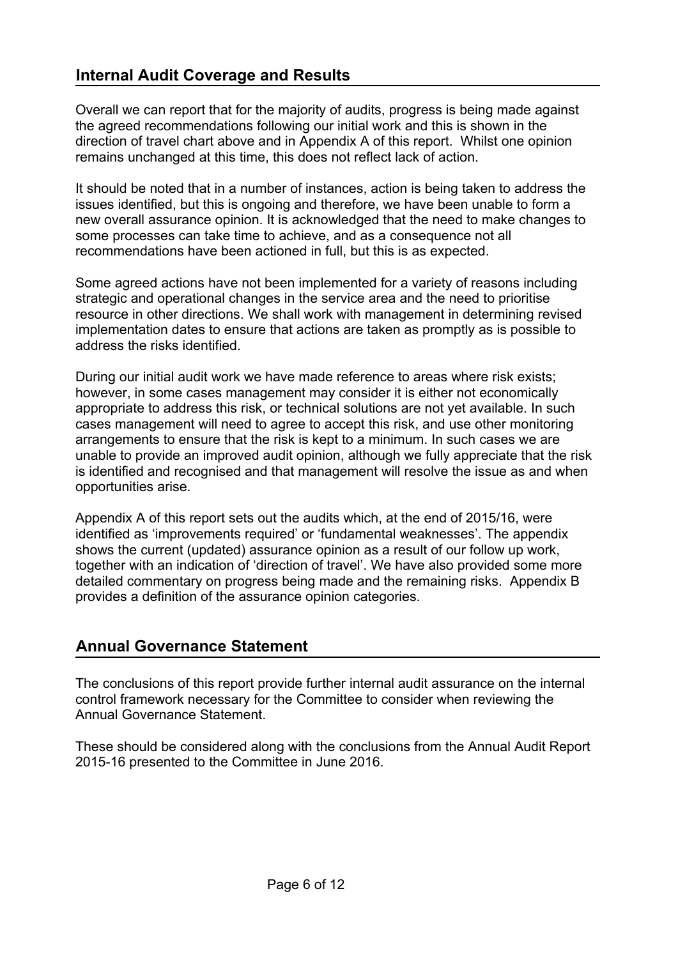# **Internal Audit Coverage and Results**

Overall we can report that for the majority of audits, progress is being made against the agreed recommendations following our initial work and this is shown in the direction of travel chart above and in Appendix A of this report. Whilst one opinion remains unchanged at this time, this does not reflect lack of action.

It should be noted that in a number of instances, action is being taken to address the issues identified, but this is ongoing and therefore, we have been unable to form a new overall assurance opinion. It is acknowledged that the need to make changes to some processes can take time to achieve, and as a consequence not all recommendations have been actioned in full, but this is as expected.

Some agreed actions have not been implemented for a variety of reasons including strategic and operational changes in the service area and the need to prioritise resource in other directions. We shall work with management in determining revised implementation dates to ensure that actions are taken as promptly as is possible to address the risks identified.

During our initial audit work we have made reference to areas where risk exists; however, in some cases management may consider it is either not economically appropriate to address this risk, or technical solutions are not yet available. In such cases management will need to agree to accept this risk, and use other monitoring arrangements to ensure that the risk is kept to a minimum. In such cases we are unable to provide an improved audit opinion, although we fully appreciate that the risk is identified and recognised and that management will resolve the issue as and when opportunities arise.

Appendix A of this report sets out the audits which, at the end of 2015/16, were identified as 'improvements required' or 'fundamental weaknesses'. The appendix shows the current (updated) assurance opinion as a result of our follow up work, together with an indication of 'direction of travel'. We have also provided some more detailed commentary on progress being made and the remaining risks. Appendix B provides a definition of the assurance opinion categories.

# **Annual Governance Statement**

The conclusions of this report provide further internal audit assurance on the internal control framework necessary for the Committee to consider when reviewing the Annual Governance Statement.

These should be considered along with the conclusions from the Annual Audit Report 2015-16 presented to the Committee in June 2016.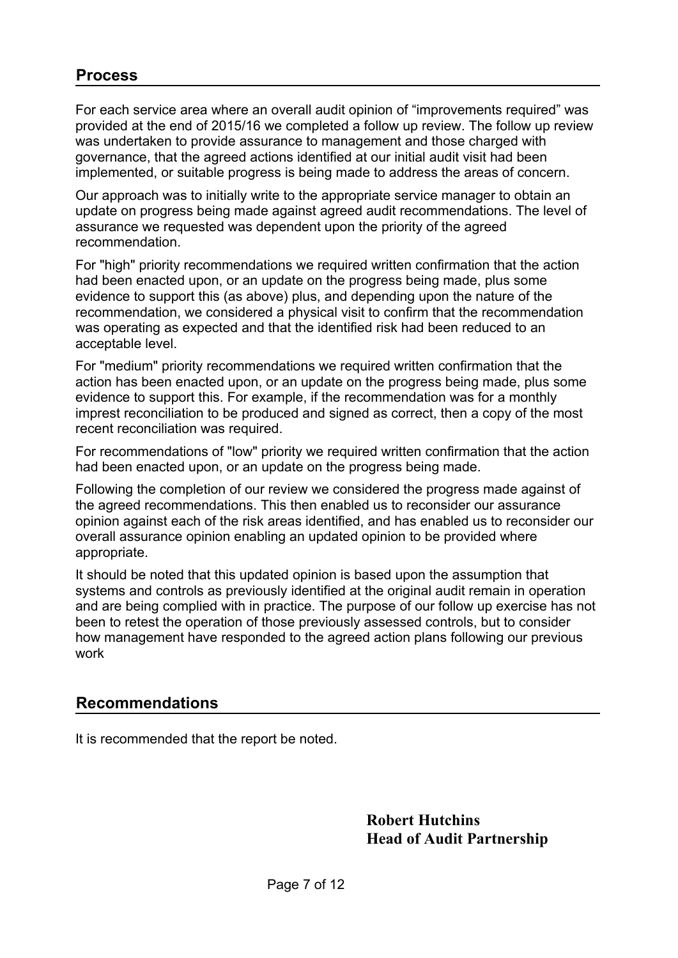# **Process**

For each service area where an overall audit opinion of "improvements required" was provided at the end of 2015/16 we completed a follow up review. The follow up review was undertaken to provide assurance to management and those charged with governance, that the agreed actions identified at our initial audit visit had been implemented, or suitable progress is being made to address the areas of concern.

Our approach was to initially write to the appropriate service manager to obtain an update on progress being made against agreed audit recommendations. The level of assurance we requested was dependent upon the priority of the agreed recommendation.

For "high" priority recommendations we required written confirmation that the action had been enacted upon, or an update on the progress being made, plus some evidence to support this (as above) plus, and depending upon the nature of the recommendation, we considered a physical visit to confirm that the recommendation was operating as expected and that the identified risk had been reduced to an acceptable level.

For "medium" priority recommendations we required written confirmation that the action has been enacted upon, or an update on the progress being made, plus some evidence to support this. For example, if the recommendation was for a monthly imprest reconciliation to be produced and signed as correct, then a copy of the most recent reconciliation was required.

For recommendations of "low" priority we required written confirmation that the action had been enacted upon, or an update on the progress being made.

Following the completion of our review we considered the progress made against of the agreed recommendations. This then enabled us to reconsider our assurance opinion against each of the risk areas identified, and has enabled us to reconsider our overall assurance opinion enabling an updated opinion to be provided where appropriate.

It should be noted that this updated opinion is based upon the assumption that systems and controls as previously identified at the original audit remain in operation and are being complied with in practice. The purpose of our follow up exercise has not been to retest the operation of those previously assessed controls, but to consider how management have responded to the agreed action plans following our previous work

# **Recommendations**

It is recommended that the report be noted.

 **Robert Hutchins Head of Audit Partnership**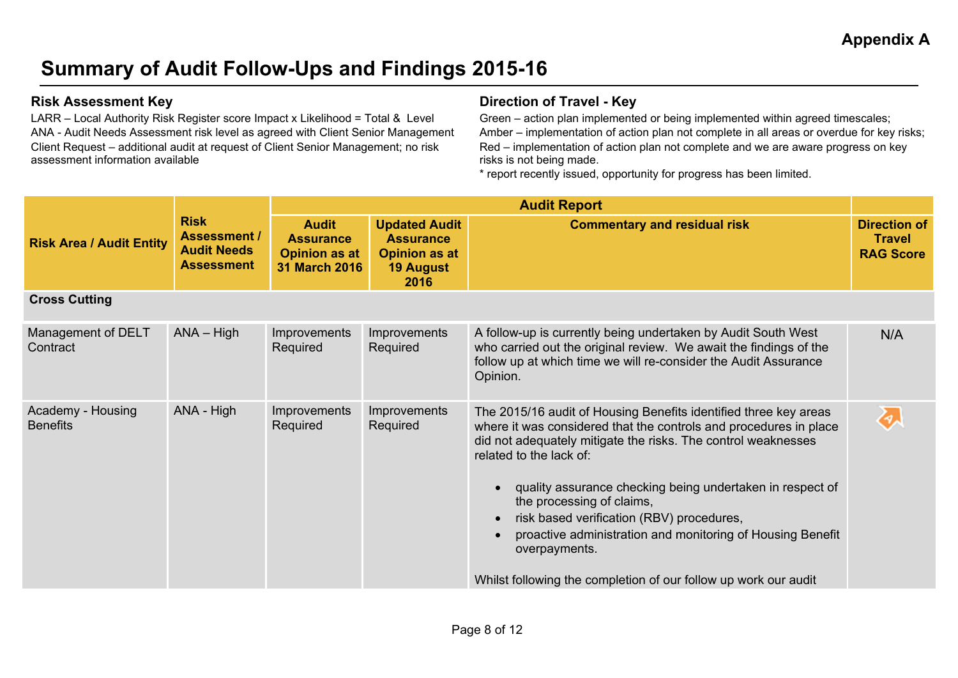# **Summary of Audit Follow-Ups and Findings 2015-16**

LARR – Local Authority Risk Register score Impact x Likelihood = Total & Level ANA - Audit Needs Assessment risk level as agreed with Client Senior Management Client Request – additional audit at request of Client Senior Management; no risk assessment information available

### **Risk Assessment Key Direction of Travel - Key**

Green – action plan implemented or being implemented within agreed timescales; Amber – implementation of action plan not complete in all areas or overdue for key risks; Red – implementation of action plan not complete and we are aware progress on key risks is not being made.

\* report recently issued, opportunity for progress has been limited.

|                                      |                                                                               | <b>Audit Report</b>                                                              |                                                                                              |                                                                                                                                                                                                                                                                                                                                                                                                                                                                                                                            |                                                          |  |  |
|--------------------------------------|-------------------------------------------------------------------------------|----------------------------------------------------------------------------------|----------------------------------------------------------------------------------------------|----------------------------------------------------------------------------------------------------------------------------------------------------------------------------------------------------------------------------------------------------------------------------------------------------------------------------------------------------------------------------------------------------------------------------------------------------------------------------------------------------------------------------|----------------------------------------------------------|--|--|
| <b>Risk Area / Audit Entity</b>      | <b>Risk</b><br><b>Assessment /</b><br><b>Audit Needs</b><br><b>Assessment</b> | <b>Audit</b><br><b>Assurance</b><br><b>Opinion as at</b><br><b>31 March 2016</b> | <b>Updated Audit</b><br><b>Assurance</b><br><b>Opinion as at</b><br><b>19 August</b><br>2016 | <b>Commentary and residual risk</b>                                                                                                                                                                                                                                                                                                                                                                                                                                                                                        | <b>Direction of</b><br><b>Travel</b><br><b>RAG Score</b> |  |  |
| <b>Cross Cutting</b>                 |                                                                               |                                                                                  |                                                                                              |                                                                                                                                                                                                                                                                                                                                                                                                                                                                                                                            |                                                          |  |  |
| Management of DELT<br>Contract       | $ANA - High$                                                                  | Improvements<br>Required                                                         | <b>Improvements</b><br>Required                                                              | A follow-up is currently being undertaken by Audit South West<br>who carried out the original review. We await the findings of the<br>follow up at which time we will re-consider the Audit Assurance<br>Opinion.                                                                                                                                                                                                                                                                                                          | N/A                                                      |  |  |
| Academy - Housing<br><b>Benefits</b> | ANA - High                                                                    | Improvements<br>Required                                                         | <b>Improvements</b><br>Required                                                              | The 2015/16 audit of Housing Benefits identified three key areas<br>where it was considered that the controls and procedures in place<br>did not adequately mitigate the risks. The control weaknesses<br>related to the lack of:<br>quality assurance checking being undertaken in respect of<br>the processing of claims,<br>risk based verification (RBV) procedures,<br>proactive administration and monitoring of Housing Benefit<br>overpayments.<br>Whilst following the completion of our follow up work our audit |                                                          |  |  |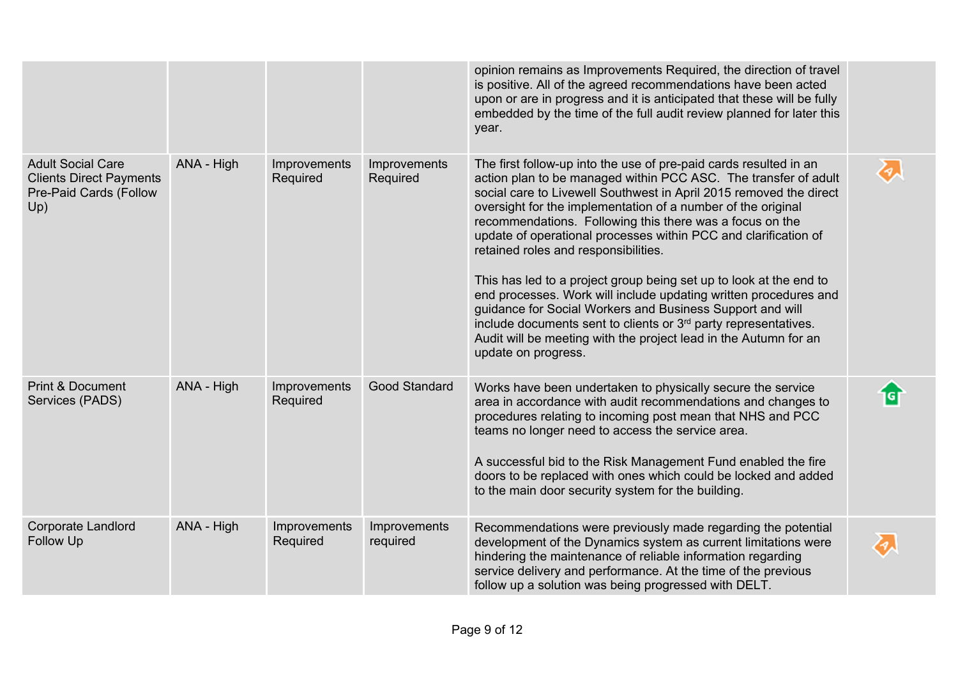|                                                                                             |            |                          |                          | opinion remains as Improvements Required, the direction of travel<br>is positive. All of the agreed recommendations have been acted<br>upon or are in progress and it is anticipated that these will be fully<br>embedded by the time of the full audit review planned for later this<br>year.                                                                                                                                                                                                                                                                                                                                                                                                                                                                                                                                     |                             |
|---------------------------------------------------------------------------------------------|------------|--------------------------|--------------------------|------------------------------------------------------------------------------------------------------------------------------------------------------------------------------------------------------------------------------------------------------------------------------------------------------------------------------------------------------------------------------------------------------------------------------------------------------------------------------------------------------------------------------------------------------------------------------------------------------------------------------------------------------------------------------------------------------------------------------------------------------------------------------------------------------------------------------------|-----------------------------|
| <b>Adult Social Care</b><br><b>Clients Direct Payments</b><br>Pre-Paid Cards (Follow<br>Up) | ANA - High | Improvements<br>Required | Improvements<br>Required | The first follow-up into the use of pre-paid cards resulted in an<br>action plan to be managed within PCC ASC. The transfer of adult<br>social care to Livewell Southwest in April 2015 removed the direct<br>oversight for the implementation of a number of the original<br>recommendations. Following this there was a focus on the<br>update of operational processes within PCC and clarification of<br>retained roles and responsibilities.<br>This has led to a project group being set up to look at the end to<br>end processes. Work will include updating written procedures and<br>guidance for Social Workers and Business Support and will<br>include documents sent to clients or 3 <sup>rd</sup> party representatives.<br>Audit will be meeting with the project lead in the Autumn for an<br>update on progress. | $\mathcal{C}_{\mathcal{I}}$ |
| <b>Print &amp; Document</b><br>Services (PADS)                                              | ANA - High | Improvements<br>Required | Good Standard            | Works have been undertaken to physically secure the service<br>area in accordance with audit recommendations and changes to<br>procedures relating to incoming post mean that NHS and PCC<br>teams no longer need to access the service area.<br>A successful bid to the Risk Management Fund enabled the fire<br>doors to be replaced with ones which could be locked and added<br>to the main door security system for the building.                                                                                                                                                                                                                                                                                                                                                                                             | बि                          |
| <b>Corporate Landlord</b><br>Follow Up                                                      | ANA - High | Improvements<br>Required | Improvements<br>required | Recommendations were previously made regarding the potential<br>development of the Dynamics system as current limitations were<br>hindering the maintenance of reliable information regarding<br>service delivery and performance. At the time of the previous<br>follow up a solution was being progressed with DELT.                                                                                                                                                                                                                                                                                                                                                                                                                                                                                                             | $\mathcal{F}_{\mathcal{A}}$ |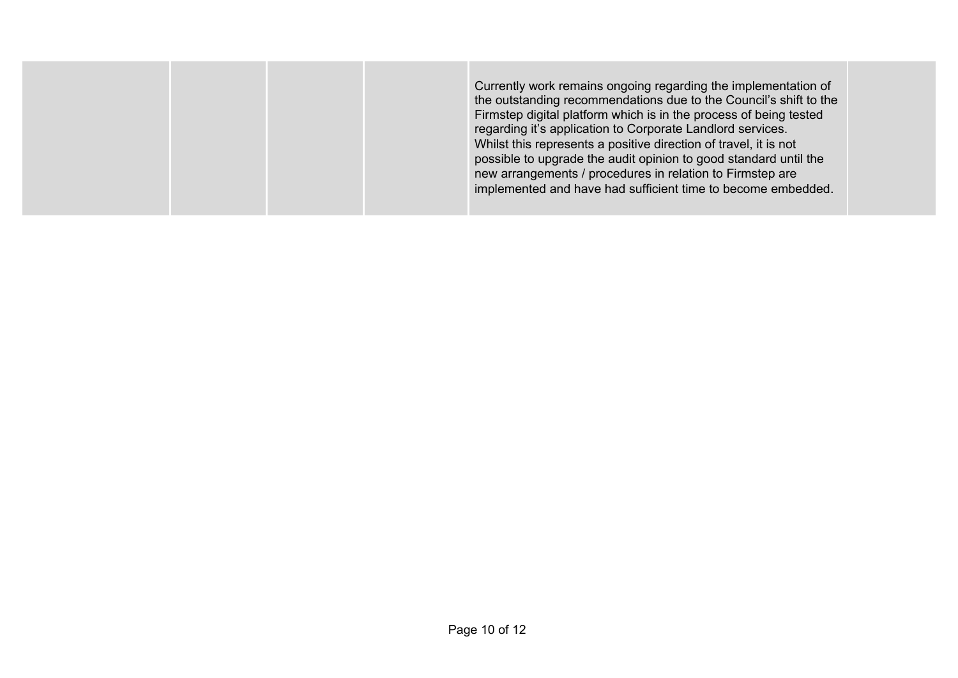| possible to upgrade the audit opinion to good standard until the<br>new arrangements / procedures in relation to Firmstep are | Currently work remains ongoing regarding the implementation of<br>the outstanding recommendations due to the Council's shift to the<br>Firmstep digital platform which is in the process of being tested<br>regarding it's application to Corporate Landlord services.<br>Whilst this represents a positive direction of travel, it is not |
|-------------------------------------------------------------------------------------------------------------------------------|--------------------------------------------------------------------------------------------------------------------------------------------------------------------------------------------------------------------------------------------------------------------------------------------------------------------------------------------|
|-------------------------------------------------------------------------------------------------------------------------------|--------------------------------------------------------------------------------------------------------------------------------------------------------------------------------------------------------------------------------------------------------------------------------------------------------------------------------------------|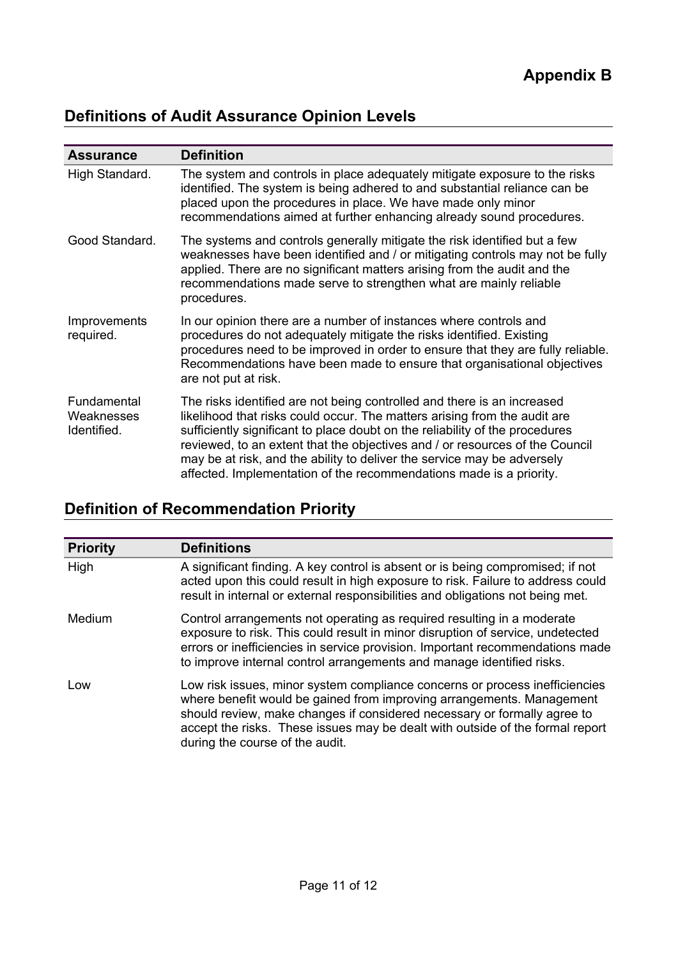# **Definitions of Audit Assurance Opinion Levels**

| <b>Assurance</b>                         | <b>Definition</b>                                                                                                                                                                                                                                                                                                                                                                                                                                                      |
|------------------------------------------|------------------------------------------------------------------------------------------------------------------------------------------------------------------------------------------------------------------------------------------------------------------------------------------------------------------------------------------------------------------------------------------------------------------------------------------------------------------------|
| High Standard.                           | The system and controls in place adequately mitigate exposure to the risks<br>identified. The system is being adhered to and substantial reliance can be<br>placed upon the procedures in place. We have made only minor<br>recommendations aimed at further enhancing already sound procedures.                                                                                                                                                                       |
| Good Standard.                           | The systems and controls generally mitigate the risk identified but a few<br>weaknesses have been identified and / or mitigating controls may not be fully<br>applied. There are no significant matters arising from the audit and the<br>recommendations made serve to strengthen what are mainly reliable<br>procedures.                                                                                                                                             |
| Improvements<br>required.                | In our opinion there are a number of instances where controls and<br>procedures do not adequately mitigate the risks identified. Existing<br>procedures need to be improved in order to ensure that they are fully reliable.<br>Recommendations have been made to ensure that organisational objectives<br>are not put at risk.                                                                                                                                        |
| Fundamental<br>Weaknesses<br>Identified. | The risks identified are not being controlled and there is an increased<br>likelihood that risks could occur. The matters arising from the audit are<br>sufficiently significant to place doubt on the reliability of the procedures<br>reviewed, to an extent that the objectives and / or resources of the Council<br>may be at risk, and the ability to deliver the service may be adversely<br>affected. Implementation of the recommendations made is a priority. |

# **Definition of Recommendation Priority**

| <b>Priority</b> | <b>Definitions</b>                                                                                                                                                                                                                                                                                                                                   |
|-----------------|------------------------------------------------------------------------------------------------------------------------------------------------------------------------------------------------------------------------------------------------------------------------------------------------------------------------------------------------------|
| High            | A significant finding. A key control is absent or is being compromised; if not<br>acted upon this could result in high exposure to risk. Failure to address could<br>result in internal or external responsibilities and obligations not being met.                                                                                                  |
| Medium          | Control arrangements not operating as required resulting in a moderate<br>exposure to risk. This could result in minor disruption of service, undetected<br>errors or inefficiencies in service provision. Important recommendations made<br>to improve internal control arrangements and manage identified risks.                                   |
| Low             | Low risk issues, minor system compliance concerns or process inefficiencies<br>where benefit would be gained from improving arrangements. Management<br>should review, make changes if considered necessary or formally agree to<br>accept the risks. These issues may be dealt with outside of the formal report<br>during the course of the audit. |